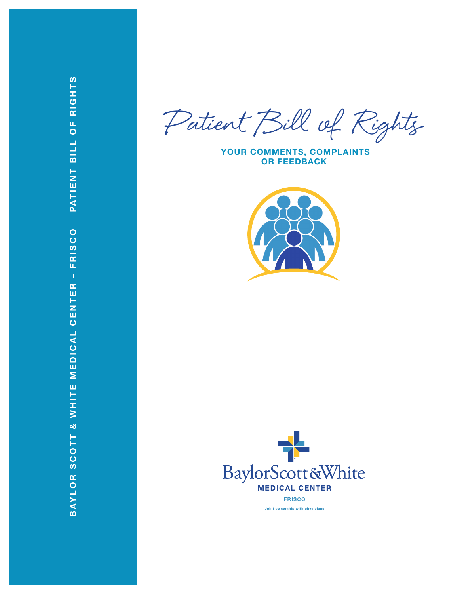Patient Bill of Rights

 **YOUR COMMENTS, COMPLAINTS OR FEEDBACK**



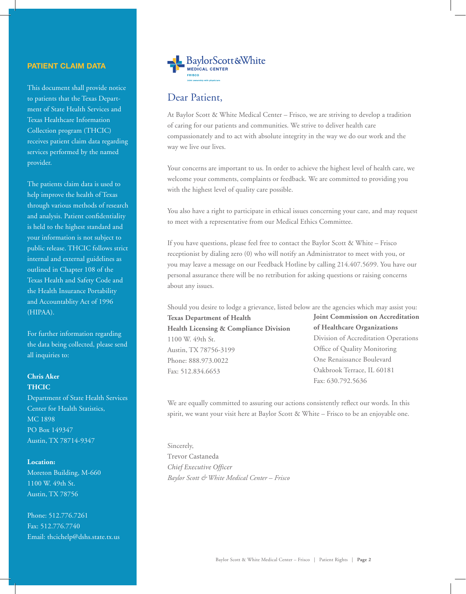### **PATIENT CLAIM DATA**

This document shall provide notice to patients that the Texas Department of State Health Services and Texas Healthcare Information Collection program (THCIC) receives patient claim data regarding services performed by the named provider.

The patients claim data is used to help improve the health of Texas through various methods of research and analysis. Patient confidentiality is held to the highest standard and your information is not subject to public release. THCIC follows strict internal and external guidelines as outlined in Chapter 108 of the Texas Health and Safety Code and the Health Insurance Portability and Accountablity Act of 1996 (HIPAA).

For further information regarding the data being collected, please send all inquiries to:

## **Chris Aker THCIC**

Department of State Health Services Center for Health Statistics, MC 1898 PO Box 149347 Austin, TX 78714-9347

#### **Location:**

Moreton Building, M-660 1100 W. 49th St. Austin, TX 78756

Phone: 512.776.7261 Fax: 512.776.7740 Email: thcichelp@dshs.state.tx.us



## Dear Patient,

At Baylor Scott & White Medical Center – Frisco, we are striving to develop a tradition of caring for our patients and communities. We strive to deliver health care compassionately and to act with absolute integrity in the way we do our work and the way we live our lives.

Your concerns are important to us. In order to achieve the highest level of health care, we welcome your comments, complaints or feedback. We are committed to providing you with the highest level of quality care possible.

You also have a right to participate in ethical issues concerning your care, and may request to meet with a representative from our Medical Ethics Committee.

If you have questions, please feel free to contact the Baylor Scott & White – Frisco receptionist by dialing zero (0) who will notify an Administrator to meet with you, or you may leave a message on our Feedback Hotline by calling 214.407.5699. You have our personal assurance there will be no retribution for asking questions or raising concerns about any issues.

Should you desire to lodge a grievance, listed below are the agencies which may assist you:

**Texas Department of Health Health Licensing & Compliance Division** 1100 W. 49th St. Austin, TX 78756-3199 Phone: 888.973.0022 Fax: 512.834.6653

**Joint Commission on Accreditation of Healthcare Organizations** Division of Accreditation Operations Office of Quality Monitoring One Renaissance Boulevard Oakbrook Terrace, IL 60181 Fax: 630.792.5636

We are equally committed to assuring our actions consistently reflect our words. In this spirit, we want your visit here at Baylor Scott & White – Frisco to be an enjoyable one.

Sincerely, Trevor Castaneda *Chief Executive Officer Baylor Scott & White Medical Center – Frisco*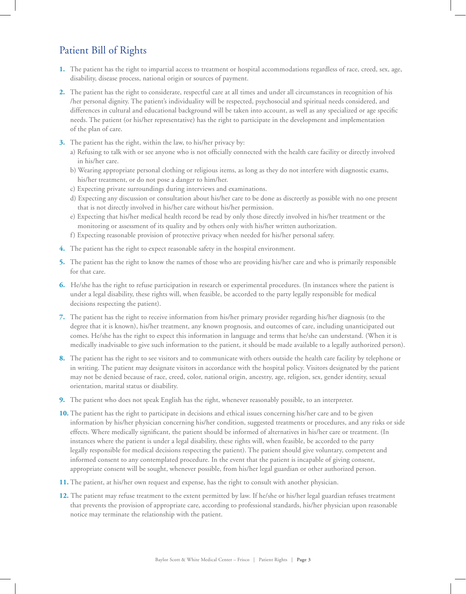# Patient Bill of Rights

- **1.** The patient has the right to impartial access to treatment or hospital accommodations regardless of race, creed, sex, age, disability, disease process, national origin or sources of payment.
- **2.** The patient has the right to considerate, respectful care at all times and under all circumstances in recognition of his /her personal dignity. The patient's individuality will be respected, psychosocial and spiritual needs considered, and differences in cultural and educational background will be taken into account, as well as any specialized or age specific needs. The patient (or his/her representative) has the right to participate in the development and implementation of the plan of care.
- **3.** The patient has the right, within the law, to his/her privacy by:
	- a) Refusing to talk with or see anyone who is not officially connected with the health care facility or directly involved in his/her care.
	- b) Wearing appropriate personal clothing or religious items, as long as they do not interfere with diagnostic exams, his/her treatment, or do not pose a danger to him/her.
	- c) Expecting private surroundings during interviews and examinations.
	- d) Expecting any discussion or consultation about his/her care to be done as discreetly as possible with no one present that is not directly involved in his/her care without his/her permission.
	- e) Expecting that his/her medical health record be read by only those directly involved in his/her treatment or the monitoring or assessment of its quality and by others only with his/her written authorization.
	- f) Expecting reasonable provision of protective privacy when needed for his/her personal safety.
- **4.** The patient has the right to expect reasonable safety in the hospital environment.
- **5.** The patient has the right to know the names of those who are providing his/her care and who is primarily responsible for that care.
- **6.** He/she has the right to refuse participation in research or experimental procedures. (In instances where the patient is under a legal disability, these rights will, when feasible, be accorded to the party legally responsible for medical decisions respecting the patient).
- **7.** The patient has the right to receive information from his/her primary provider regarding his/her diagnosis (to the degree that it is known), his/her treatment, any known prognosis, and outcomes of care, including unanticipated out comes. He/she has the right to expect this information in language and terms that he/she can understand. (When it is medically inadvisable to give such information to the patient, it should be made available to a legally authorized person).
- **8.** The patient has the right to see visitors and to communicate with others outside the health care facility by telephone or in writing. The patient may designate visitors in accordance with the hospital policy. Visitors designated by the patient may not be denied because of race, creed, color, national origin, ancestry, age, religion, sex, gender identity, sexual orientation, marital status or disability.
- **9.** The patient who does not speak English has the right, whenever reasonably possible, to an interpreter.
- **10.** The patient has the right to participate in decisions and ethical issues concerning his/her care and to be given information by his/her physician concerning his/her condition, suggested treatments or procedures, and any risks or side effects. Where medically significant, the patient should be informed of alternatives in his/her care or treatment. (In instances where the patient is under a legal disability, these rights will, when feasible, be accorded to the party legally responsible for medical decisions respecting the patient). The patient should give voluntary, competent and informed consent to any contemplated procedure. In the event that the patient is incapable of giving consent, appropriate consent will be sought, whenever possible, from his/her legal guardian or other authorized person.
- **11.** The patient, at his/her own request and expense, has the right to consult with another physician.
- **12.** The patient may refuse treatment to the extent permitted by law. If he/she or his/her legal guardian refuses treatment that prevents the provision of appropriate care, according to professional standards, his/her physician upon reasonable notice may terminate the relationship with the patient.